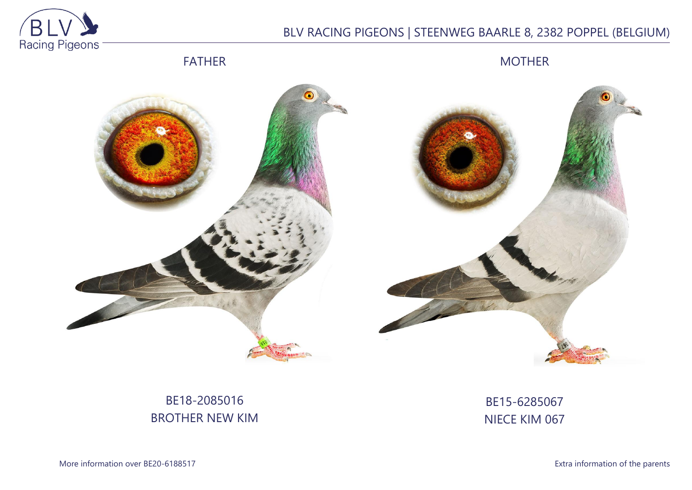

# BLV RACING PIGEONS | STEENWEG BAARLE 8, 2382 POPPEL (BELGIUM)



MOTHER





# BE18-2085016 BROTHER NEW KIM

## BE15-6285067 NIECE KIM 067

More information over BE20-6188517 **Extra information of the parents**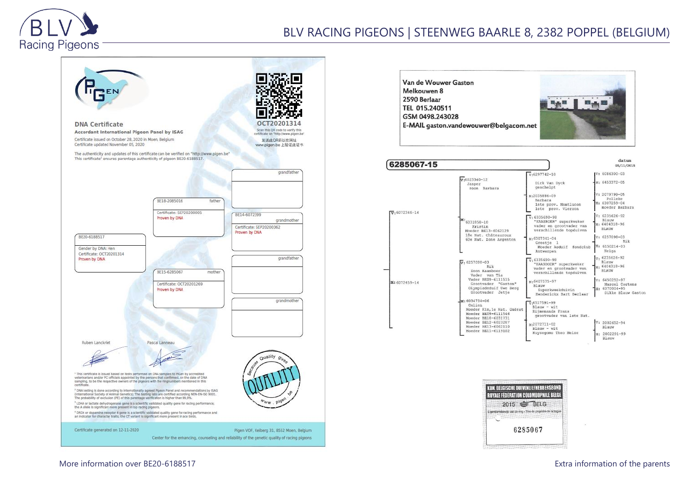

#### **DNA Certificate**  $0CT2$ Scan this OR code to verify this Accordant International Pigeon Panel by ISAG certificate on "http://www.pigen.be" Certificate issued on October 28, 2020 in Moen, Belgium 发送此QR码以在网址 Certificate updated November 05, 2020 www.pigen.be 上验证此证书 The authenticity and updates of this certificate can be verified on "http://www.pigen.be" This certificate<sup>1</sup> ensures parentage authenticity of pigeon BE20-6188517. grandfather BE18-2085016 father Certificate: SEP20200005 BE14-6072399 Proven by DNA grandmother Certificate: SEP20200362 Proven by DNA BE20-6188517 Gender by DNA: Hen Certificate: OCT20201314 grandfather Proven by DNA BE15-6285067 mother Certificate: OCT20201269 Proven by DNA grandmothe Ruben Lanckriet Pascal Lanneau <sup>1</sup> This certificate is issued based on tests performed on DNA samples to PiGen by accredited<br>veterinarians and/or FCI officials appointed by the persons that confirmed, on the date of DNA<br>sampling, to be the respective ow <sup>7</sup> DNA testing is done according to internationally agreed Pigeon Panel and recommendations by ISAG<br>Unternational Society of Animal Genetics). The testing labs are certified according NEM-EN-ISO 9001.<br>The probability of e <sup>1</sup> LDHA or lactate dehydrogenase gene is a scientific validated quality gene for racing performance;<br>the A aliele is significant more present in top racing pigeons. <sup>4</sup> DRD4 or dopamine receptor 4 gene is a sclentific validated quality gene for racing performance and<br>an indicator for character traits; the CT variant is significant more present in ace birds. Certificate generated on 12-11-2020 Pigen VOF, Keiberg 31, 8552 Moen, Belgium Center for the enhancing, counseling and reliability of the genetic quality of racing pigeons



| 6285067-15                  |                                                                                                                                |                                                                                                                                | datum<br>05/11/2015                                                                    |
|-----------------------------|--------------------------------------------------------------------------------------------------------------------------------|--------------------------------------------------------------------------------------------------------------------------------|----------------------------------------------------------------------------------------|
|                             | $v.6023340 - 12$<br>Jasper<br>zoon Barbara                                                                                     | $V:6297742-10$<br>Dirk Van Dyck<br>geschelpt<br>$M - 2035886 - 09$                                                             | $IV: 6086300 - 03$<br>M: 6453372-05<br>$V: 2079799 - 05$<br>Polleke                    |
| $\overline{v}$ : 6072346-14 |                                                                                                                                | Barbara<br>1ste prov. Montlucon<br>1ste prov. Vierzon<br>$V: 6335690 - 98$                                                     | M: 6307259-04<br>moeder Barbara<br>V: 6235626-92<br>Blauw                              |
|                             | $M: 6031858 - 10$<br>Kristin<br>Moeder BE13-6062129<br>18e Nat. Châteauroux<br>60e Nat. Zone Argenton                          | "KAASBOER" superkweker<br>vader en grootvader van<br>verschillende topduiven<br>$M:6307341-04$<br>Greetie 1                    | $M - 6404318 - 96$<br><b>BLAUW</b><br>$V - 6257098 - 03$<br>Rik                        |
| M: 6072459-14               | $\sqrt{v}$ 6257098-03<br>Rik                                                                                                   | Moeder Asduif<br>fondclub<br>Antwerpen<br>$V.6335690-98$<br>"KAASBOER" superkweker                                             | $M: 6150214 - 03$<br>Helga<br>v. 6235626-92<br>Blauw<br>M: 6404318-96                  |
|                             | Zoon Kaasboer<br>Vader van Tia<br>Vader BE09-6111515<br>Grootvader "Gaston"<br>Olympiadeduif Uwe Berg<br>Grootvader Jetie      | vader en grootvader van<br>verschillende topduiven<br>$M.6407575 - 97$<br>Blauw<br>Superkweekduivin<br>Henderickx Bart Berlaar | <b>BLAUW</b><br>V: 6450252-97<br>Marcel Cortens<br>M: 6370004-95<br>Dikke Blauw Gaston |
|                             | $M: 6034734 - 06$<br>Celien<br>Moeder Kim, le Nat. Guéret<br>Moeder BE09-6111546<br>Moeder BE10-6031731<br>Moeder BE12-6023287 | $\sqrt{6517591-99}$<br>$Blauw - wit$<br>Riimenands Frans<br>grootvader van 1ste Nat.                                           | $V: 2002652 - 94$                                                                      |
|                             | Moeder BE13-6062110<br>Moeder BE11-6119102                                                                                     | M:2072711-02<br>$Blauw - wit$<br>Huysegoms Theo Meise                                                                          | Blauw<br>M: 2002291-99<br>Blauw                                                        |

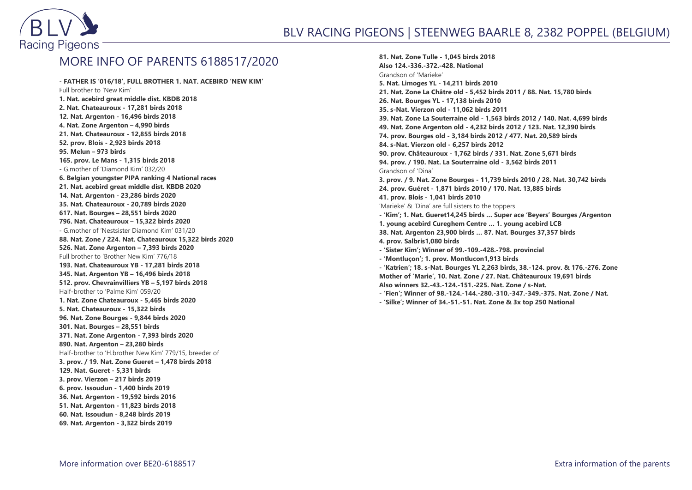

### MORE INFO OF PARENTS 6188517/2020

**- FATHER IS '016/18', FULL BROTHER 1. NAT. ACEBIRD 'NEW KIM'** Full brother to 'New Kim' **1. Nat. acebird great middle dist. KBDB 2018 2. Nat. Chateauroux - 17,281 birds 2018 12. Nat. Argenton - 16,496 birds 2018 4. Nat. Zone Argenton – 4,990 birds 21. Nat. Chateauroux - 12,855 birds 2018 52. prov. Blois - 2,923 birds 2018 95. Melun – 973 birds 165. prov. Le Mans - 1,315 birds 2018 -** G.mother of 'Diamond Kim' 032/20 **6. Belgian youngster PIPA ranking 4 National races 21. Nat. acebird great middle dist. KBDB 2020 14. Nat. Argenton - 23,286 birds 2020 35. Nat. Chateauroux - 20,789 birds 2020 617. Nat. Bourges – 28,551 birds 2020 796. Nat. Chateauroux – 15,322 birds 2020** - G.mother of 'Nestsister Diamond Kim' 031/20 **88. Nat. Zone / 224. Nat. Chateauroux 15,322 birds 2020 526. Nat. Zone Argenton – 7,393 birds 2020** Full brother to 'Brother New Kim' 776/18 **193. Nat. Chateauroux YB - 17,281 birds 2018 345. Nat. Argenton YB – 16,496 birds 2018 512. prov. Chevrainvilliers YB – 5,197 birds 2018** Half-brother to 'Palme Kim' 059/20 **1. Nat. Zone Chateauroux - 5,465 birds 2020 5. Nat. Chateauroux - 15,322 birds 96. Nat. Zone Bourges - 9,844 birds 2020 301. Nat. Bourges – 28,551 birds 371. Nat. Zone Argenton - 7,393 birds 2020 890. Nat. Argenton – 23,280 birds** Half-brother to 'H.brother New Kim' 779/15, breeder of **3. prov. / 19. Nat. Zone Gueret – 1,478 birds 2018 129. Nat. Gueret - 5,331 birds 3. prov. Vierzon – 217 birds 2019 6. prov. Issoudun - 1,400 birds 2019 36. Nat. Argenton - 19,592 birds 2016 51. Nat. Argenton - 11,823 birds 2018 60. Nat. Issoudun - 8,248 birds 2019 69. Nat. Argenton - 3,322 birds 2019**

**81. Nat. Zone Tulle - 1,045 birds 2018 Also 124.-336.-372.-428. National** Grandson of 'Marieke' **5. Nat. Limoges YL - 14,211 birds 2010 21. Nat. Zone La Châtre old - 5,452 birds 2011 / 88. Nat. 15,780 birds 26. Nat. Bourges YL - 17,138 birds 2010 35. s-Nat. Vierzon old - 11,062 birds 2011 39. Nat. Zone La Souterraine old - 1,563 birds 2012 / 140. Nat. 4,699 birds 49. Nat. Zone Argenton old - 4,232 birds 2012 / 123. Nat. 12,390 birds 74. prov. Bourges old - 3,184 birds 2012 / 477. Nat. 20,589 birds 84. s-Nat. Vierzon old - 6,257 birds 2012 90. prov. Châteauroux - 1,762 birds / 331. Nat. Zone 5,671 birds 94. prov. / 190. Nat. La Souterraine old - 3,562 birds 2011** Grandson of 'Dina' **3. prov. / 9. Nat. Zone Bourges - 11,739 birds 2010 / 28. Nat. 30,742 birds 24. prov. Guéret - 1,871 birds 2010 / 170. Nat. 13,885 birds 41. prov. Blois - 1,041 birds 2010** 'Marieke' & 'Dina' are full sisters to the toppers **- 'Kim'; 1. Nat. Gueret14,245 birds … Super ace 'Beyers' Bourges /Argenton 1. young acebird Cureghem Centre … 1. young acebird LCB 38. Nat. Argenton 23,900 birds … 87. Nat. Bourges 37,357 birds 4. prov. Salbris1,080 birds - 'Sister Kim'; Winner of 99.-109.-428.-798. provincial - 'Montluçon'; 1. prov. Montlucon1,913 birds - 'Katrien'; 18. s-Nat. Bourges YL 2,263 birds, 38.-124. prov. & 176.-276. Zone Mother of 'Marie', 10. Nat. Zone / 27. Nat. Châteauroux 19,691 birds Also winners 32.-43.-124.-151.-225. Nat. Zone / s-Nat.**

- **- 'Fien'; Winner of 98.-124.-144.-280.-310.-347.-349.-375. Nat. Zone / Nat.**
- **- 'Silke'; Winner of 34.-51.-51. Nat. Zone & 3x top 250 National**